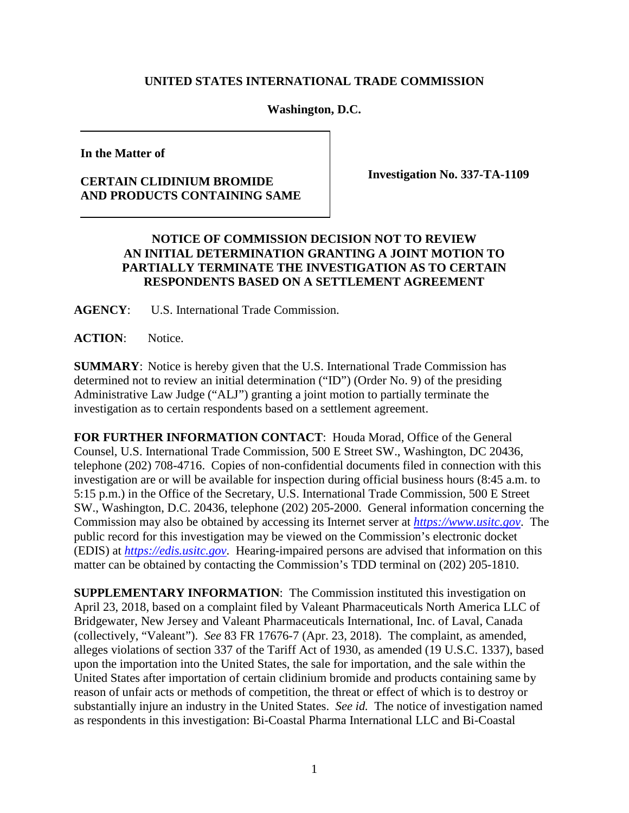## **UNITED STATES INTERNATIONAL TRADE COMMISSION**

## **Washington, D.C.**

**In the Matter of**

## **CERTAIN CLIDINIUM BROMIDE AND PRODUCTS CONTAINING SAME**

**Investigation No. 337-TA-1109**

## **NOTICE OF COMMISSION DECISION NOT TO REVIEW AN INITIAL DETERMINATION GRANTING A JOINT MOTION TO PARTIALLY TERMINATE THE INVESTIGATION AS TO CERTAIN RESPONDENTS BASED ON A SETTLEMENT AGREEMENT**

**AGENCY**: U.S. International Trade Commission.

**ACTION**: Notice.

**SUMMARY**: Notice is hereby given that the U.S. International Trade Commission has determined not to review an initial determination ("ID") (Order No. 9) of the presiding Administrative Law Judge ("ALJ") granting a joint motion to partially terminate the investigation as to certain respondents based on a settlement agreement.

**FOR FURTHER INFORMATION CONTACT**: Houda Morad, Office of the General Counsel, U.S. International Trade Commission, 500 E Street SW., Washington, DC 20436, telephone (202) 708-4716. Copies of non-confidential documents filed in connection with this investigation are or will be available for inspection during official business hours (8:45 a.m. to 5:15 p.m.) in the Office of the Secretary, U.S. International Trade Commission, 500 E Street SW., Washington, D.C. 20436, telephone (202) 205-2000. General information concerning the Commission may also be obtained by accessing its Internet server at *[https://www.usitc.gov](https://www.usitc.gov/)*. The public record for this investigation may be viewed on the Commission's electronic docket (EDIS) at *[https://edis.usitc.gov](http://edis.usitc.gov/)*. Hearing-impaired persons are advised that information on this matter can be obtained by contacting the Commission's TDD terminal on (202) 205-1810.

**SUPPLEMENTARY INFORMATION**: The Commission instituted this investigation on April 23, 2018, based on a complaint filed by Valeant Pharmaceuticals North America LLC of Bridgewater, New Jersey and Valeant Pharmaceuticals International, Inc. of Laval, Canada (collectively, "Valeant"). *See* 83 FR 17676-7 (Apr. 23, 2018). The complaint, as amended, alleges violations of section 337 of the Tariff Act of 1930, as amended (19 U.S.C. 1337), based upon the importation into the United States, the sale for importation, and the sale within the United States after importation of certain clidinium bromide and products containing same by reason of unfair acts or methods of competition, the threat or effect of which is to destroy or substantially injure an industry in the United States. *See id.* The notice of investigation named as respondents in this investigation: Bi-Coastal Pharma International LLC and Bi-Coastal